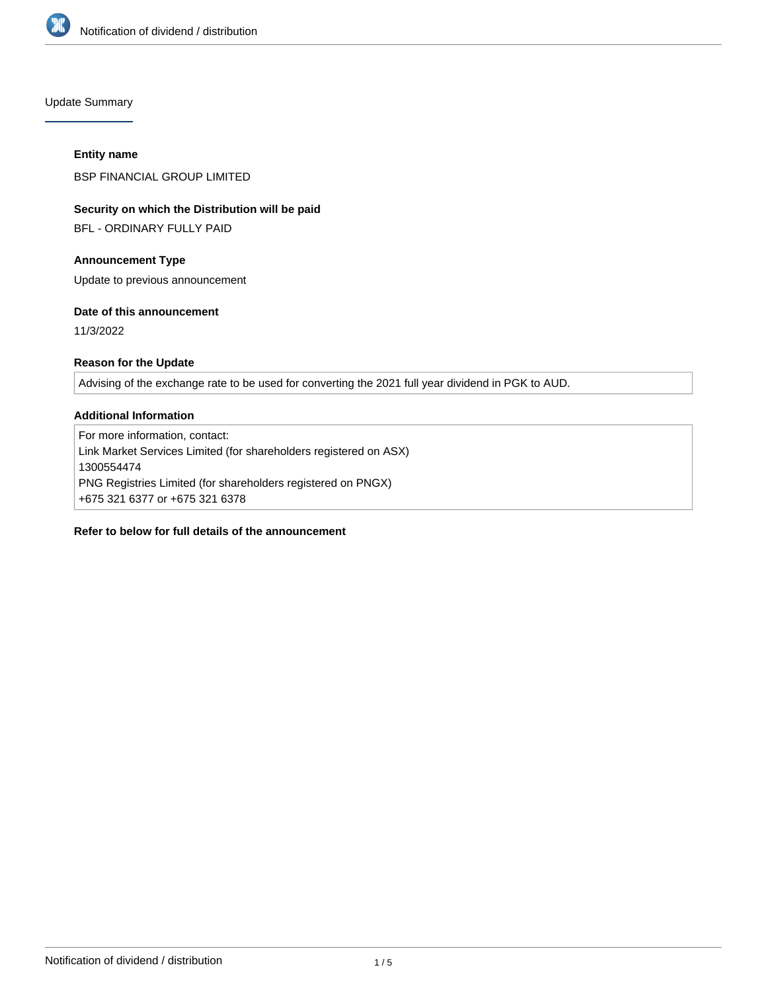

Update Summary

## **Entity name**

BSP FINANCIAL GROUP LIMITED

# **Security on which the Distribution will be paid**

BFL - ORDINARY FULLY PAID

# **Announcement Type**

Update to previous announcement

## **Date of this announcement**

11/3/2022

# **Reason for the Update**

Advising of the exchange rate to be used for converting the 2021 full year dividend in PGK to AUD.

## **Additional Information**

For more information, contact: Link Market Services Limited (for shareholders registered on ASX) 1300554474 PNG Registries Limited (for shareholders registered on PNGX) +675 321 6377 or +675 321 6378

# **Refer to below for full details of the announcement**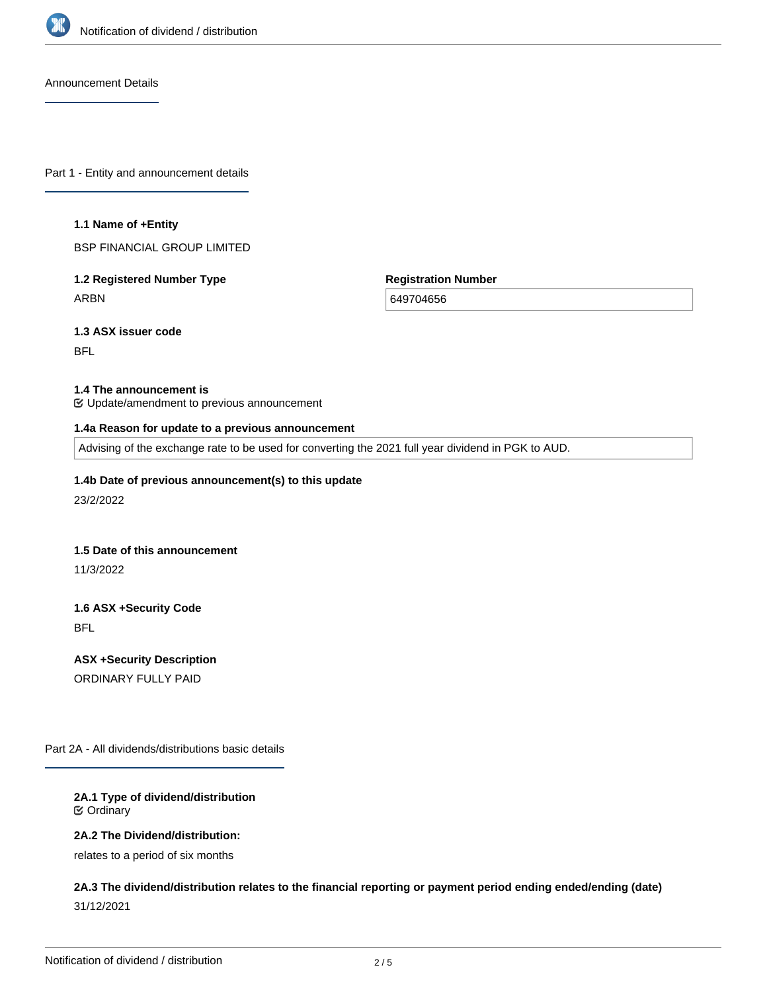

Announcement Details

Part 1 - Entity and announcement details

#### **1.1 Name of +Entity**

BSP FINANCIAL GROUP LIMITED

**1.2 Registered Number Type** ARBN

**Registration Number**

649704656

**1.3 ASX issuer code**

BFL

#### **1.4 The announcement is**

Update/amendment to previous announcement

#### **1.4a Reason for update to a previous announcement**

Advising of the exchange rate to be used for converting the 2021 full year dividend in PGK to AUD.

**1.4b Date of previous announcement(s) to this update**

23/2/2022

#### **1.5 Date of this announcement**

11/3/2022

**1.6 ASX +Security Code** BFL

**ASX +Security Description** ORDINARY FULLY PAID

Part 2A - All dividends/distributions basic details

#### **2A.1 Type of dividend/distribution** Ordinary

**2A.2 The Dividend/distribution:**

relates to a period of six months

**2A.3 The dividend/distribution relates to the financial reporting or payment period ending ended/ending (date)** 31/12/2021

**2A.4 +Record Date**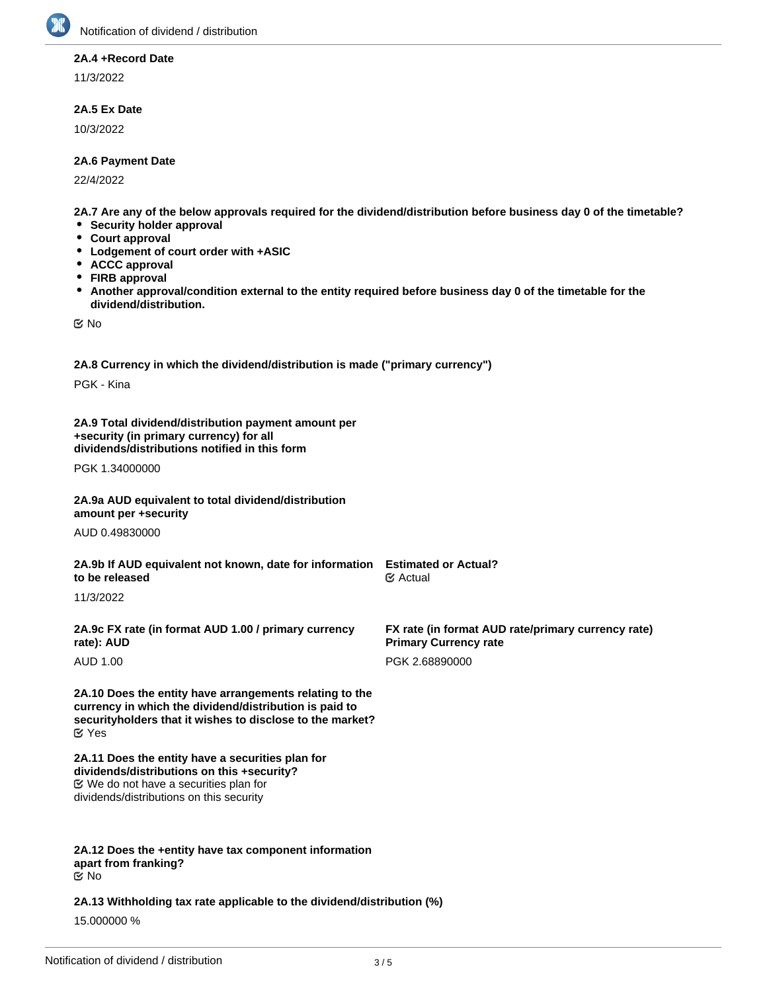

## **2A.4 +Record Date**

11/3/2022

## **2A.5 Ex Date**

10/3/2022

## **2A.6 Payment Date**

22/4/2022

**2A.7 Are any of the below approvals required for the dividend/distribution before business day 0 of the timetable?**

- **•** Security holder approval
- **Court approval**
- **Lodgement of court order with +ASIC**
- **ACCC approval**
- **FIRB approval**
- $\bullet$ **Another approval/condition external to the entity required before business day 0 of the timetable for the dividend/distribution.**

No

**2A.8 Currency in which the dividend/distribution is made ("primary currency")**

PGK - Kina

**2A.9 Total dividend/distribution payment amount per +security (in primary currency) for all dividends/distributions notified in this form**

PGK 1.34000000

**2A.9a AUD equivalent to total dividend/distribution amount per +security**

AUD 0.49830000

**2A.9b If AUD equivalent not known, date for information Estimated or Actual? to be released**

11/3/2022

**2A.9c FX rate (in format AUD 1.00 / primary currency rate): AUD**

AUD 1.00

**2A.10 Does the entity have arrangements relating to the currency in which the dividend/distribution is paid to securityholders that it wishes to disclose to the market?** Yes

**2A.11 Does the entity have a securities plan for dividends/distributions on this +security?** We do not have a securities plan for dividends/distributions on this security

#### **2A.12 Does the +entity have tax component information apart from franking?** No

**2A.13 Withholding tax rate applicable to the dividend/distribution (%)**

15.000000 %

**FX rate (in format AUD rate/primary currency rate)**

**Primary Currency rate** PGK 2.68890000

∉ Actual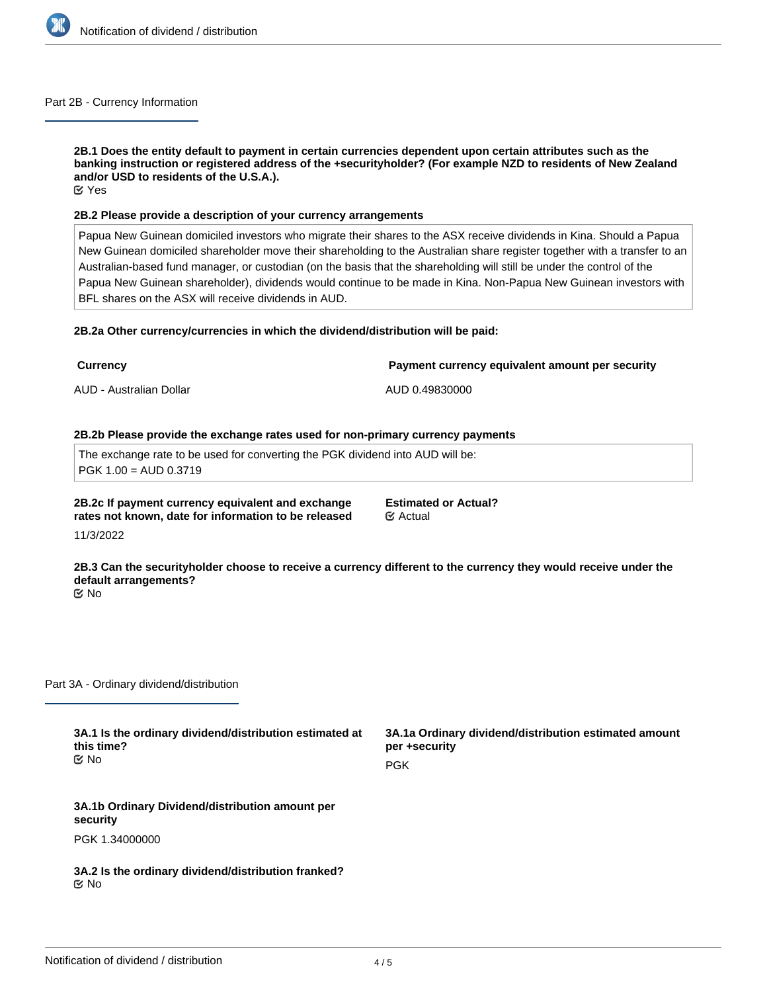

#### Part 2B - Currency Information

**2B.1 Does the entity default to payment in certain currencies dependent upon certain attributes such as the banking instruction or registered address of the +securityholder? (For example NZD to residents of New Zealand and/or USD to residents of the U.S.A.).** Yes

#### **2B.2 Please provide a description of your currency arrangements**

Papua New Guinean domiciled investors who migrate their shares to the ASX receive dividends in Kina. Should a Papua New Guinean domiciled shareholder move their shareholding to the Australian share register together with a transfer to an Australian-based fund manager, or custodian (on the basis that the shareholding will still be under the control of the Papua New Guinean shareholder), dividends would continue to be made in Kina. Non-Papua New Guinean investors with BFL shares on the ASX will receive dividends in AUD.

#### **2B.2a Other currency/currencies in which the dividend/distribution will be paid:**

| <b>Currency</b>         | Payment currency equivalent amount per security |
|-------------------------|-------------------------------------------------|
| AUD - Australian Dollar | AUD 0.49830000                                  |
|                         |                                                 |

## **2B.2b Please provide the exchange rates used for non-primary currency payments**

The exchange rate to be used for converting the PGK dividend into AUD will be: PGK 1.00 = AUD 0.3719

**2B.2c If payment currency equivalent and exchange rates not known, date for information to be released**

**Estimated or Actual?** Actual

11/3/2022

**2B.3 Can the securityholder choose to receive a currency different to the currency they would receive under the default arrangements?** No

Part 3A - Ordinary dividend/distribution

**3A.1 Is the ordinary dividend/distribution estimated at this time?** No

**3A.1a Ordinary dividend/distribution estimated amount per +security PGK** 

**3A.1b Ordinary Dividend/distribution amount per security** PGK 1.34000000

**3A.2 Is the ordinary dividend/distribution franked?** No